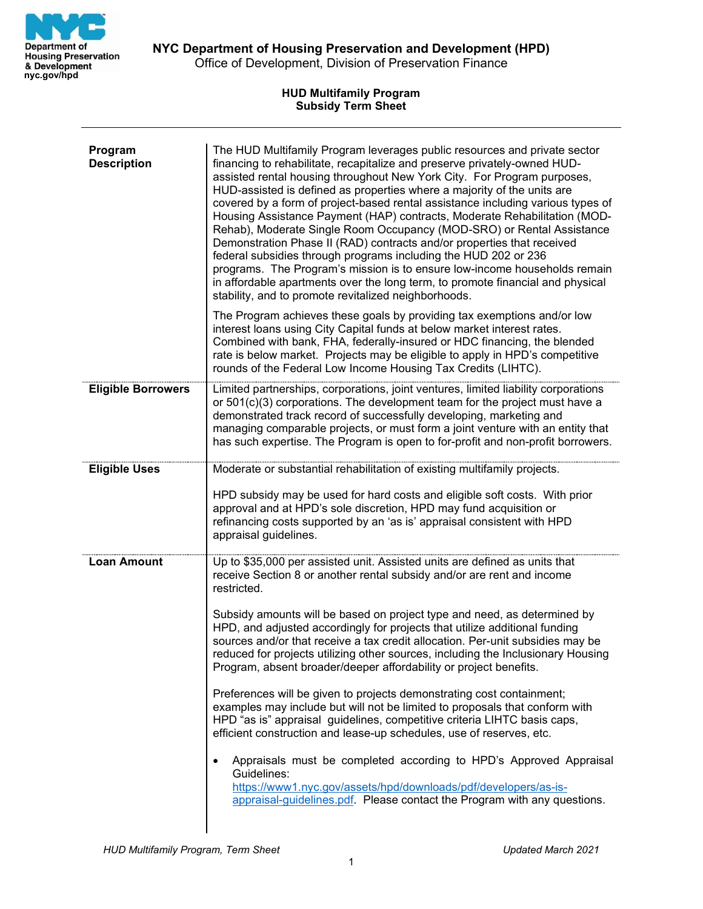

**NYC Department of Housing Preservation and Development (HPD)** Office of Development, Division of Preservation Finance

## **HUD Multifamily Program Subsidy Term Sheet**

| Program<br><b>Description</b> | The HUD Multifamily Program leverages public resources and private sector<br>financing to rehabilitate, recapitalize and preserve privately-owned HUD-<br>assisted rental housing throughout New York City. For Program purposes,<br>HUD-assisted is defined as properties where a majority of the units are<br>covered by a form of project-based rental assistance including various types of<br>Housing Assistance Payment (HAP) contracts, Moderate Rehabilitation (MOD-<br>Rehab), Moderate Single Room Occupancy (MOD-SRO) or Rental Assistance<br>Demonstration Phase II (RAD) contracts and/or properties that received<br>federal subsidies through programs including the HUD 202 or 236<br>programs. The Program's mission is to ensure low-income households remain<br>in affordable apartments over the long term, to promote financial and physical<br>stability, and to promote revitalized neighborhoods.<br>The Program achieves these goals by providing tax exemptions and/or low<br>interest loans using City Capital funds at below market interest rates.<br>Combined with bank, FHA, federally-insured or HDC financing, the blended<br>rate is below market. Projects may be eligible to apply in HPD's competitive |
|-------------------------------|---------------------------------------------------------------------------------------------------------------------------------------------------------------------------------------------------------------------------------------------------------------------------------------------------------------------------------------------------------------------------------------------------------------------------------------------------------------------------------------------------------------------------------------------------------------------------------------------------------------------------------------------------------------------------------------------------------------------------------------------------------------------------------------------------------------------------------------------------------------------------------------------------------------------------------------------------------------------------------------------------------------------------------------------------------------------------------------------------------------------------------------------------------------------------------------------------------------------------------------------|
|                               | rounds of the Federal Low Income Housing Tax Credits (LIHTC).                                                                                                                                                                                                                                                                                                                                                                                                                                                                                                                                                                                                                                                                                                                                                                                                                                                                                                                                                                                                                                                                                                                                                                               |
| <b>Eligible Borrowers</b>     | Limited partnerships, corporations, joint ventures, limited liability corporations<br>or 501(c)(3) corporations. The development team for the project must have a<br>demonstrated track record of successfully developing, marketing and<br>managing comparable projects, or must form a joint venture with an entity that<br>has such expertise. The Program is open to for-profit and non-profit borrowers.                                                                                                                                                                                                                                                                                                                                                                                                                                                                                                                                                                                                                                                                                                                                                                                                                               |
| <b>Eligible Uses</b>          | Moderate or substantial rehabilitation of existing multifamily projects.                                                                                                                                                                                                                                                                                                                                                                                                                                                                                                                                                                                                                                                                                                                                                                                                                                                                                                                                                                                                                                                                                                                                                                    |
|                               | HPD subsidy may be used for hard costs and eligible soft costs. With prior<br>approval and at HPD's sole discretion, HPD may fund acquisition or<br>refinancing costs supported by an 'as is' appraisal consistent with HPD<br>appraisal guidelines.                                                                                                                                                                                                                                                                                                                                                                                                                                                                                                                                                                                                                                                                                                                                                                                                                                                                                                                                                                                        |
| <b>Loan Amount</b>            | Up to \$35,000 per assisted unit. Assisted units are defined as units that<br>receive Section 8 or another rental subsidy and/or are rent and income<br>restricted.                                                                                                                                                                                                                                                                                                                                                                                                                                                                                                                                                                                                                                                                                                                                                                                                                                                                                                                                                                                                                                                                         |
|                               | Subsidy amounts will be based on project type and need, as determined by<br>HPD, and adjusted accordingly for projects that utilize additional funding<br>sources and/or that receive a tax credit allocation. Per-unit subsidies may be<br>reduced for projects utilizing other sources, including the Inclusionary Housing<br>Program, absent broader/deeper affordability or project benefits.                                                                                                                                                                                                                                                                                                                                                                                                                                                                                                                                                                                                                                                                                                                                                                                                                                           |
|                               | Preferences will be given to projects demonstrating cost containment;<br>examples may include but will not be limited to proposals that conform with<br>HPD "as is" appraisal guidelines, competitive criteria LIHTC basis caps,<br>efficient construction and lease-up schedules, use of reserves, etc.                                                                                                                                                                                                                                                                                                                                                                                                                                                                                                                                                                                                                                                                                                                                                                                                                                                                                                                                    |
|                               | Appraisals must be completed according to HPD's Approved Appraisal<br>$\bullet$<br>Guidelines:<br>https://www1.nyc.gov/assets/hpd/downloads/pdf/developers/as-is-<br>appraisal-guidelines.pdf. Please contact the Program with any questions.                                                                                                                                                                                                                                                                                                                                                                                                                                                                                                                                                                                                                                                                                                                                                                                                                                                                                                                                                                                               |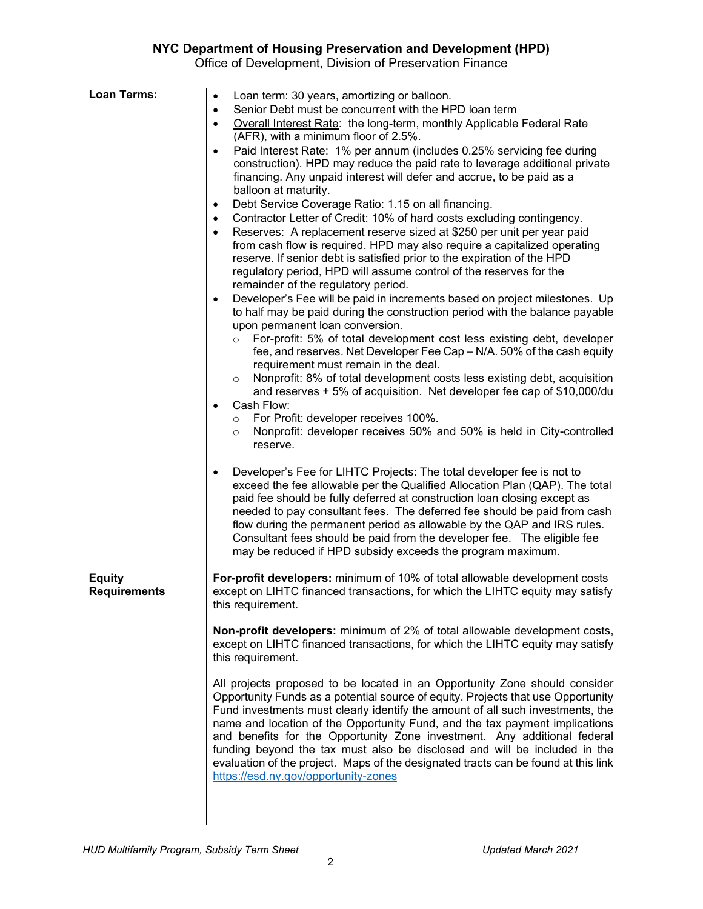| <b>Loan Terms:</b>                   | Loan term: 30 years, amortizing or balloon.<br>$\bullet$                                                                                                                                                                                                                                                                                                                                                                                                                                                                                                                                                               |
|--------------------------------------|------------------------------------------------------------------------------------------------------------------------------------------------------------------------------------------------------------------------------------------------------------------------------------------------------------------------------------------------------------------------------------------------------------------------------------------------------------------------------------------------------------------------------------------------------------------------------------------------------------------------|
|                                      | Senior Debt must be concurrent with the HPD loan term<br>$\bullet$<br>Overall Interest Rate: the long-term, monthly Applicable Federal Rate<br>$\bullet$                                                                                                                                                                                                                                                                                                                                                                                                                                                               |
|                                      | (AFR), with a minimum floor of 2.5%.                                                                                                                                                                                                                                                                                                                                                                                                                                                                                                                                                                                   |
|                                      | Paid Interest Rate: 1% per annum (includes 0.25% servicing fee during<br>$\bullet$<br>construction). HPD may reduce the paid rate to leverage additional private<br>financing. Any unpaid interest will defer and accrue, to be paid as a<br>balloon at maturity.                                                                                                                                                                                                                                                                                                                                                      |
|                                      | Debt Service Coverage Ratio: 1.15 on all financing.<br>$\bullet$<br>Contractor Letter of Credit: 10% of hard costs excluding contingency.<br>$\bullet$<br>Reserves: A replacement reserve sized at \$250 per unit per year paid<br>$\bullet$<br>from cash flow is required. HPD may also require a capitalized operating<br>reserve. If senior debt is satisfied prior to the expiration of the HPD<br>regulatory period, HPD will assume control of the reserves for the<br>remainder of the regulatory period.                                                                                                       |
|                                      | Developer's Fee will be paid in increments based on project milestones. Up<br>$\bullet$<br>to half may be paid during the construction period with the balance payable<br>upon permanent loan conversion.                                                                                                                                                                                                                                                                                                                                                                                                              |
|                                      | For-profit: 5% of total development cost less existing debt, developer<br>$\circ$<br>fee, and reserves. Net Developer Fee Cap - N/A. 50% of the cash equity<br>requirement must remain in the deal.                                                                                                                                                                                                                                                                                                                                                                                                                    |
|                                      | Nonprofit: 8% of total development costs less existing debt, acquisition<br>$\circ$<br>and reserves + 5% of acquisition. Net developer fee cap of \$10,000/du<br>Cash Flow:<br>o For Profit: developer receives 100%.                                                                                                                                                                                                                                                                                                                                                                                                  |
|                                      | Nonprofit: developer receives 50% and 50% is held in City-controlled<br>$\circ$<br>reserve.                                                                                                                                                                                                                                                                                                                                                                                                                                                                                                                            |
|                                      | Developer's Fee for LIHTC Projects: The total developer fee is not to<br>$\bullet$<br>exceed the fee allowable per the Qualified Allocation Plan (QAP). The total<br>paid fee should be fully deferred at construction loan closing except as<br>needed to pay consultant fees. The deferred fee should be paid from cash<br>flow during the permanent period as allowable by the QAP and IRS rules.<br>Consultant fees should be paid from the developer fee. The eligible fee<br>may be reduced if HPD subsidy exceeds the program maximum.                                                                          |
| <b>Equity</b><br><b>Requirements</b> | For-profit developers: minimum of 10% of total allowable development costs<br>except on LIHTC financed transactions, for which the LIHTC equity may satisfy<br>this requirement.                                                                                                                                                                                                                                                                                                                                                                                                                                       |
|                                      | Non-profit developers: minimum of 2% of total allowable development costs,<br>except on LIHTC financed transactions, for which the LIHTC equity may satisfy<br>this requirement.                                                                                                                                                                                                                                                                                                                                                                                                                                       |
|                                      | All projects proposed to be located in an Opportunity Zone should consider<br>Opportunity Funds as a potential source of equity. Projects that use Opportunity<br>Fund investments must clearly identify the amount of all such investments, the<br>name and location of the Opportunity Fund, and the tax payment implications<br>and benefits for the Opportunity Zone investment. Any additional federal<br>funding beyond the tax must also be disclosed and will be included in the<br>evaluation of the project. Maps of the designated tracts can be found at this link<br>https://esd.ny.gov/opportunity-zones |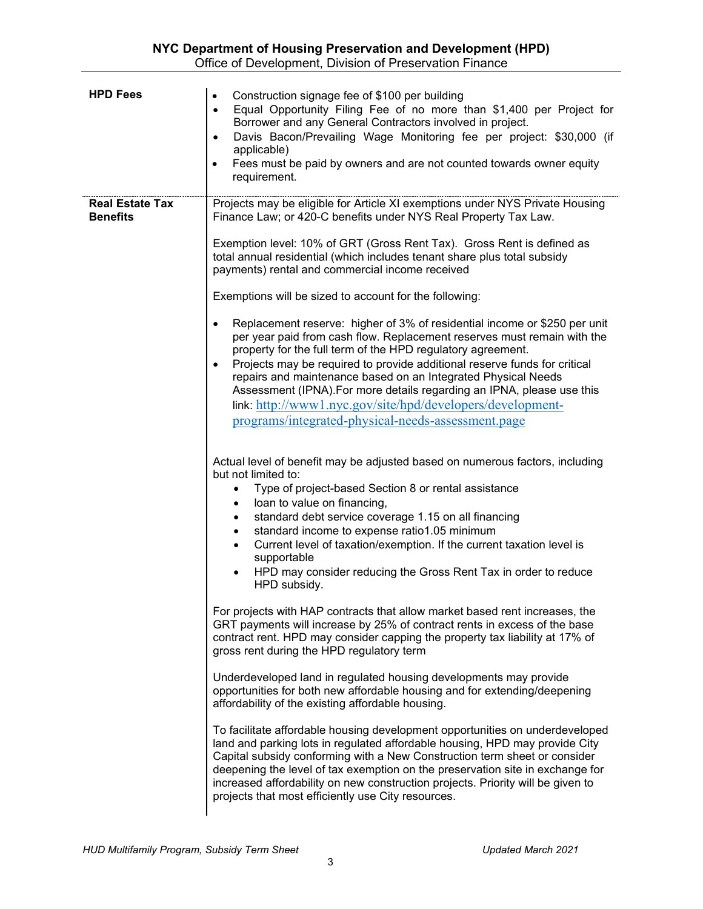| <b>HPD Fees</b>                           | Construction signage fee of \$100 per building<br>$\bullet$<br>Equal Opportunity Filing Fee of no more than \$1,400 per Project for<br>$\bullet$<br>Borrower and any General Contractors involved in project.<br>Davis Bacon/Prevailing Wage Monitoring fee per project: \$30,000 (if<br>$\bullet$<br>applicable)<br>Fees must be paid by owners and are not counted towards owner equity<br>$\bullet$<br>requirement.                                                                                                                                                                    |
|-------------------------------------------|-------------------------------------------------------------------------------------------------------------------------------------------------------------------------------------------------------------------------------------------------------------------------------------------------------------------------------------------------------------------------------------------------------------------------------------------------------------------------------------------------------------------------------------------------------------------------------------------|
| <b>Real Estate Tax</b><br><b>Benefits</b> | Projects may be eligible for Article XI exemptions under NYS Private Housing<br>Finance Law; or 420-C benefits under NYS Real Property Tax Law.                                                                                                                                                                                                                                                                                                                                                                                                                                           |
|                                           | Exemption level: 10% of GRT (Gross Rent Tax). Gross Rent is defined as<br>total annual residential (which includes tenant share plus total subsidy<br>payments) rental and commercial income received                                                                                                                                                                                                                                                                                                                                                                                     |
|                                           | Exemptions will be sized to account for the following:                                                                                                                                                                                                                                                                                                                                                                                                                                                                                                                                    |
|                                           | Replacement reserve: higher of 3% of residential income or \$250 per unit<br>$\bullet$<br>per year paid from cash flow. Replacement reserves must remain with the<br>property for the full term of the HPD regulatory agreement.<br>Projects may be required to provide additional reserve funds for critical<br>$\bullet$<br>repairs and maintenance based on an Integrated Physical Needs<br>Assessment (IPNA). For more details regarding an IPNA, please use this<br>link: http://www1.nyc.gov/site/hpd/developers/development-<br>programs/integrated-physical-needs-assessment.page |
|                                           | Actual level of benefit may be adjusted based on numerous factors, including<br>but not limited to:<br>Type of project-based Section 8 or rental assistance<br>$\bullet$<br>loan to value on financing,<br>$\bullet$<br>standard debt service coverage 1.15 on all financing<br>$\bullet$<br>standard income to expense ratio1.05 minimum<br>$\bullet$<br>Current level of taxation/exemption. If the current taxation level is<br>$\bullet$<br>supportable<br>HPD may consider reducing the Gross Rent Tax in order to reduce<br>HPD subsidy.                                            |
|                                           | For projects with HAP contracts that allow market based rent increases, the<br>GRT payments will increase by 25% of contract rents in excess of the base<br>contract rent. HPD may consider capping the property tax liability at 17% of<br>gross rent during the HPD regulatory term                                                                                                                                                                                                                                                                                                     |
|                                           | Underdeveloped land in regulated housing developments may provide<br>opportunities for both new affordable housing and for extending/deepening<br>affordability of the existing affordable housing.                                                                                                                                                                                                                                                                                                                                                                                       |
|                                           | To facilitate affordable housing development opportunities on underdeveloped<br>land and parking lots in regulated affordable housing, HPD may provide City<br>Capital subsidy conforming with a New Construction term sheet or consider<br>deepening the level of tax exemption on the preservation site in exchange for<br>increased affordability on new construction projects. Priority will be given to<br>projects that most efficiently use City resources.                                                                                                                        |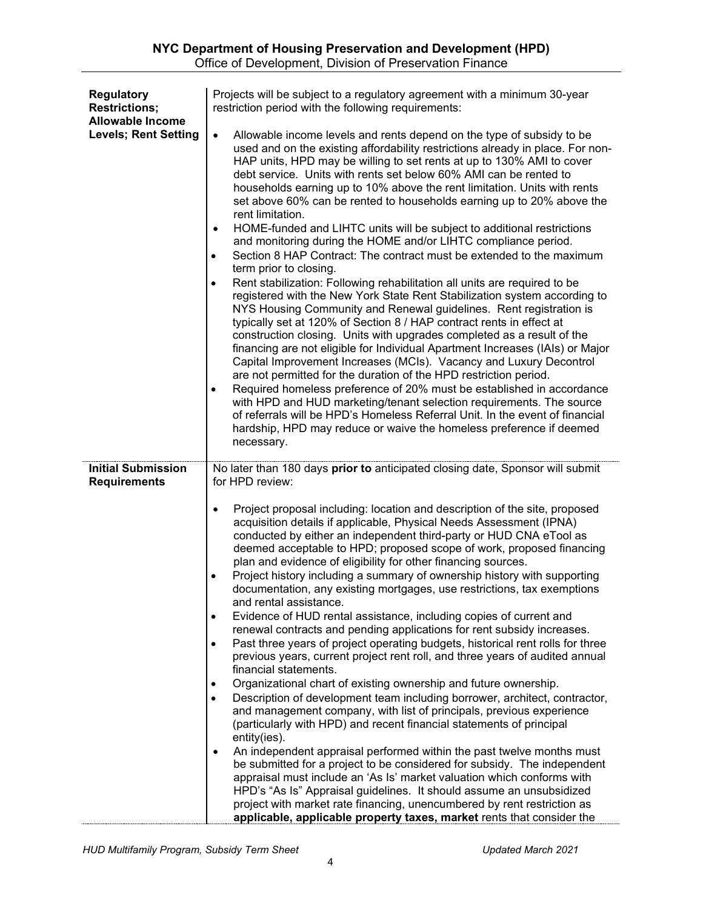| <b>Regulatory</b><br><b>Restrictions:</b><br><b>Allowable Income</b> | Projects will be subject to a regulatory agreement with a minimum 30-year<br>restriction period with the following requirements:                                                                                                                                                                                                                                                                                                                                                                                                                                                                                                                                                                                                                                                                                                                                                                                                                                                                                                                                                                                                                                                                                                                                                                                                                                                                                                                                                                                                                                                                                                                                                                                           |
|----------------------------------------------------------------------|----------------------------------------------------------------------------------------------------------------------------------------------------------------------------------------------------------------------------------------------------------------------------------------------------------------------------------------------------------------------------------------------------------------------------------------------------------------------------------------------------------------------------------------------------------------------------------------------------------------------------------------------------------------------------------------------------------------------------------------------------------------------------------------------------------------------------------------------------------------------------------------------------------------------------------------------------------------------------------------------------------------------------------------------------------------------------------------------------------------------------------------------------------------------------------------------------------------------------------------------------------------------------------------------------------------------------------------------------------------------------------------------------------------------------------------------------------------------------------------------------------------------------------------------------------------------------------------------------------------------------------------------------------------------------------------------------------------------------|
| <b>Levels; Rent Setting</b>                                          | Allowable income levels and rents depend on the type of subsidy to be<br>$\bullet$<br>used and on the existing affordability restrictions already in place. For non-<br>HAP units, HPD may be willing to set rents at up to 130% AMI to cover<br>debt service. Units with rents set below 60% AMI can be rented to<br>households earning up to 10% above the rent limitation. Units with rents<br>set above 60% can be rented to households earning up to 20% above the<br>rent limitation.<br>HOME-funded and LIHTC units will be subject to additional restrictions<br>$\bullet$<br>and monitoring during the HOME and/or LIHTC compliance period.<br>Section 8 HAP Contract: The contract must be extended to the maximum<br>$\bullet$<br>term prior to closing.<br>Rent stabilization: Following rehabilitation all units are required to be<br>$\bullet$<br>registered with the New York State Rent Stabilization system according to<br>NYS Housing Community and Renewal guidelines. Rent registration is<br>typically set at 120% of Section 8 / HAP contract rents in effect at<br>construction closing. Units with upgrades completed as a result of the<br>financing are not eligible for Individual Apartment Increases (IAIs) or Major<br>Capital Improvement Increases (MCIs). Vacancy and Luxury Decontrol<br>are not permitted for the duration of the HPD restriction period.<br>Required homeless preference of 20% must be established in accordance<br>with HPD and HUD marketing/tenant selection requirements. The source<br>of referrals will be HPD's Homeless Referral Unit. In the event of financial<br>hardship, HPD may reduce or waive the homeless preference if deemed<br>necessary.       |
| <b>Initial Submission</b><br><b>Requirements</b>                     | No later than 180 days prior to anticipated closing date, Sponsor will submit<br>for HPD review:                                                                                                                                                                                                                                                                                                                                                                                                                                                                                                                                                                                                                                                                                                                                                                                                                                                                                                                                                                                                                                                                                                                                                                                                                                                                                                                                                                                                                                                                                                                                                                                                                           |
|                                                                      | Project proposal including: location and description of the site, proposed<br>$\bullet$<br>acquisition details if applicable, Physical Needs Assessment (IPNA)<br>conducted by either an independent third-party or HUD CNA eTool as<br>deemed acceptable to HPD; proposed scope of work, proposed financing<br>plan and evidence of eligibility for other financing sources.<br>Project history including a summary of ownership history with supporting<br>documentation, any existing mortgages, use restrictions, tax exemptions<br>and rental assistance.<br>Evidence of HUD rental assistance, including copies of current and<br>٠<br>renewal contracts and pending applications for rent subsidy increases.<br>Past three years of project operating budgets, historical rent rolls for three<br>$\bullet$<br>previous years, current project rent roll, and three years of audited annual<br>financial statements.<br>Organizational chart of existing ownership and future ownership.<br>٠<br>Description of development team including borrower, architect, contractor,<br>and management company, with list of principals, previous experience<br>(particularly with HPD) and recent financial statements of principal<br>entity(ies).<br>An independent appraisal performed within the past twelve months must<br>$\bullet$<br>be submitted for a project to be considered for subsidy. The independent<br>appraisal must include an 'As Is' market valuation which conforms with<br>HPD's "As Is" Appraisal guidelines. It should assume an unsubsidized<br>project with market rate financing, unencumbered by rent restriction as<br>applicable, applicable property taxes, market rents that consider the |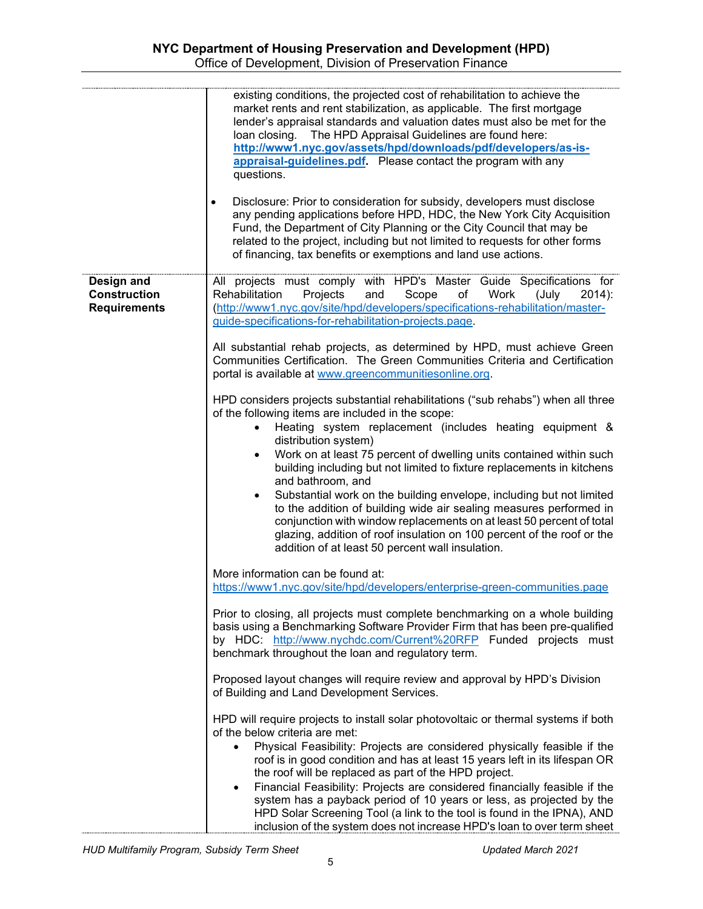|                                                          | existing conditions, the projected cost of rehabilitation to achieve the<br>market rents and rent stabilization, as applicable. The first mortgage<br>lender's appraisal standards and valuation dates must also be met for the<br>loan closing. The HPD Appraisal Guidelines are found here:<br>http://www1.nyc.gov/assets/hpd/downloads/pdf/developers/as-is-<br>appraisal-quidelines.pdf. Please contact the program with any<br>questions.<br>Disclosure: Prior to consideration for subsidy, developers must disclose<br>$\bullet$<br>any pending applications before HPD, HDC, the New York City Acquisition<br>Fund, the Department of City Planning or the City Council that may be<br>related to the project, including but not limited to requests for other forms<br>of financing, tax benefits or exemptions and land use actions.                                                                                                                                                                                                                                                                                                                                                                                                                                                                      |
|----------------------------------------------------------|---------------------------------------------------------------------------------------------------------------------------------------------------------------------------------------------------------------------------------------------------------------------------------------------------------------------------------------------------------------------------------------------------------------------------------------------------------------------------------------------------------------------------------------------------------------------------------------------------------------------------------------------------------------------------------------------------------------------------------------------------------------------------------------------------------------------------------------------------------------------------------------------------------------------------------------------------------------------------------------------------------------------------------------------------------------------------------------------------------------------------------------------------------------------------------------------------------------------------------------------------------------------------------------------------------------------|
| Design and<br><b>Construction</b><br><b>Requirements</b> | All projects must comply with HPD's Master Guide Specifications for<br>Rehabilitation<br>Projects<br>Scope<br>Work<br>and<br>of<br>(July<br>$2014$ :<br>(http://www1.nyc.gov/site/hpd/developers/specifications-rehabilitation/master-<br>guide-specifications-for-rehabilitation-projects.page.<br>All substantial rehab projects, as determined by HPD, must achieve Green<br>Communities Certification. The Green Communities Criteria and Certification<br>portal is available at www.greencommunitiesonline.org.<br>HPD considers projects substantial rehabilitations ("sub rehabs") when all three<br>of the following items are included in the scope:<br>Heating system replacement (includes heating equipment &<br>$\bullet$<br>distribution system)<br>Work on at least 75 percent of dwelling units contained within such<br>$\bullet$<br>building including but not limited to fixture replacements in kitchens<br>and bathroom, and<br>Substantial work on the building envelope, including but not limited<br>$\bullet$<br>to the addition of building wide air sealing measures performed in<br>conjunction with window replacements on at least 50 percent of total<br>glazing, addition of roof insulation on 100 percent of the roof or the<br>addition of at least 50 percent wall insulation. |
|                                                          | More information can be found at:<br>https://www1.nyc.gov/site/hpd/developers/enterprise-green-communities.page<br>Prior to closing, all projects must complete benchmarking on a whole building<br>basis using a Benchmarking Software Provider Firm that has been pre-qualified<br>by HDC: http://www.nychdc.com/Current%20RFP Funded projects must<br>benchmark throughout the loan and regulatory term.<br>Proposed layout changes will require review and approval by HPD's Division<br>of Building and Land Development Services.<br>HPD will require projects to install solar photovoltaic or thermal systems if both<br>of the below criteria are met:<br>Physical Feasibility: Projects are considered physically feasible if the<br>roof is in good condition and has at least 15 years left in its lifespan OR<br>the roof will be replaced as part of the HPD project.<br>Financial Feasibility: Projects are considered financially feasible if the<br>$\bullet$<br>system has a payback period of 10 years or less, as projected by the<br>HPD Solar Screening Tool (a link to the tool is found in the IPNA), AND<br>inclusion of the system does not increase HPD's loan to over term sheet                                                                                                        |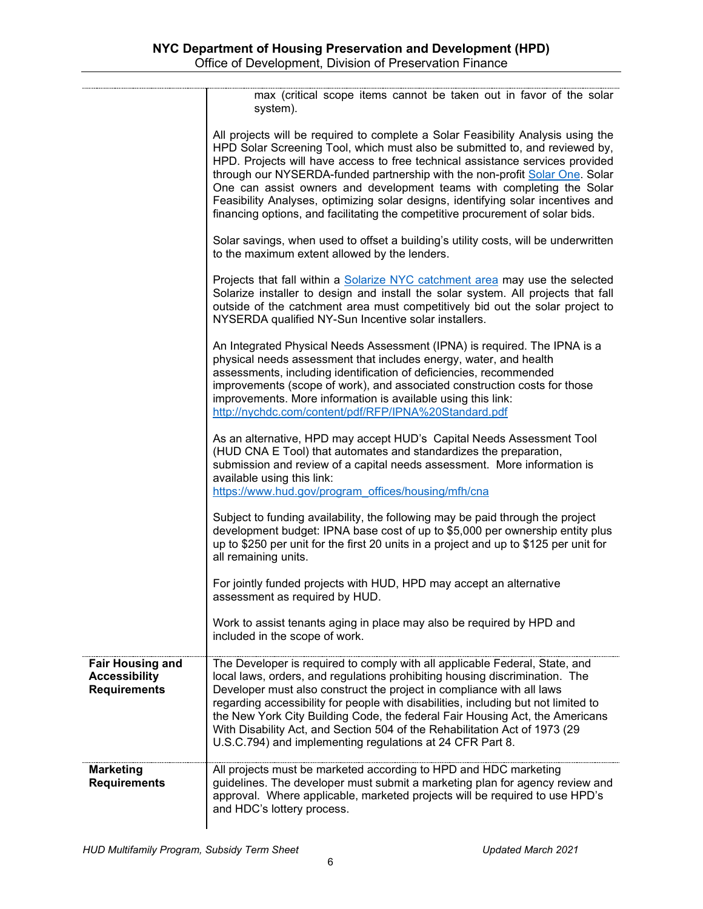|                                                                        | max (critical scope items cannot be taken out in favor of the solar                                                                                                                                                                                                                                                                                                                                                                                                                                                                                                            |
|------------------------------------------------------------------------|--------------------------------------------------------------------------------------------------------------------------------------------------------------------------------------------------------------------------------------------------------------------------------------------------------------------------------------------------------------------------------------------------------------------------------------------------------------------------------------------------------------------------------------------------------------------------------|
|                                                                        | system).                                                                                                                                                                                                                                                                                                                                                                                                                                                                                                                                                                       |
|                                                                        | All projects will be required to complete a Solar Feasibility Analysis using the<br>HPD Solar Screening Tool, which must also be submitted to, and reviewed by,<br>HPD. Projects will have access to free technical assistance services provided<br>through our NYSERDA-funded partnership with the non-profit Solar One. Solar<br>One can assist owners and development teams with completing the Solar<br>Feasibility Analyses, optimizing solar designs, identifying solar incentives and<br>financing options, and facilitating the competitive procurement of solar bids. |
|                                                                        | Solar savings, when used to offset a building's utility costs, will be underwritten<br>to the maximum extent allowed by the lenders.                                                                                                                                                                                                                                                                                                                                                                                                                                           |
|                                                                        | Projects that fall within a Solarize NYC catchment area may use the selected<br>Solarize installer to design and install the solar system. All projects that fall<br>outside of the catchment area must competitively bid out the solar project to<br>NYSERDA qualified NY-Sun Incentive solar installers.                                                                                                                                                                                                                                                                     |
|                                                                        | An Integrated Physical Needs Assessment (IPNA) is required. The IPNA is a<br>physical needs assessment that includes energy, water, and health<br>assessments, including identification of deficiencies, recommended<br>improvements (scope of work), and associated construction costs for those<br>improvements. More information is available using this link:<br>http://nychdc.com/content/pdf/RFP/IPNA%20Standard.pdf                                                                                                                                                     |
|                                                                        | As an alternative, HPD may accept HUD's Capital Needs Assessment Tool<br>(HUD CNA E Tool) that automates and standardizes the preparation,<br>submission and review of a capital needs assessment. More information is<br>available using this link:<br>https://www.hud.gov/program_offices/housing/mfh/cna                                                                                                                                                                                                                                                                    |
|                                                                        | Subject to funding availability, the following may be paid through the project<br>development budget: IPNA base cost of up to \$5,000 per ownership entity plus<br>up to \$250 per unit for the first 20 units in a project and up to \$125 per unit for<br>all remaining units.                                                                                                                                                                                                                                                                                               |
|                                                                        | For jointly funded projects with HUD, HPD may accept an alternative<br>assessment as required by HUD.                                                                                                                                                                                                                                                                                                                                                                                                                                                                          |
|                                                                        | Work to assist tenants aging in place may also be required by HPD and<br>included in the scope of work.                                                                                                                                                                                                                                                                                                                                                                                                                                                                        |
| <b>Fair Housing and</b><br><b>Accessibility</b><br><b>Requirements</b> | The Developer is required to comply with all applicable Federal, State, and<br>local laws, orders, and regulations prohibiting housing discrimination. The<br>Developer must also construct the project in compliance with all laws<br>regarding accessibility for people with disabilities, including but not limited to<br>the New York City Building Code, the federal Fair Housing Act, the Americans<br>With Disability Act, and Section 504 of the Rehabilitation Act of 1973 (29<br>U.S.C.794) and implementing regulations at 24 CFR Part 8.                           |
| <b>Marketing</b><br><b>Requirements</b>                                | All projects must be marketed according to HPD and HDC marketing<br>guidelines. The developer must submit a marketing plan for agency review and<br>approval. Where applicable, marketed projects will be required to use HPD's<br>and HDC's lottery process.                                                                                                                                                                                                                                                                                                                  |